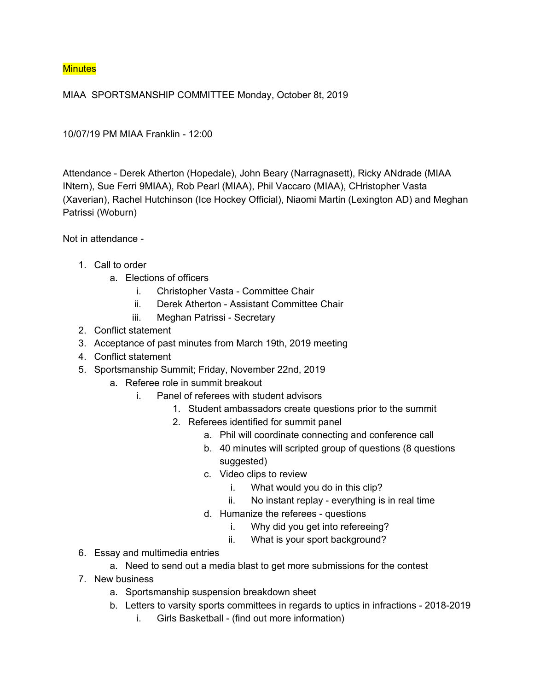## **Minutes**

MIAA SPORTSMANSHIP COMMITTEE Monday, October 8t, 2019

10/07/19 PM MIAA Franklin - 12:00

Attendance - Derek Atherton (Hopedale), John Beary (Narragnasett), Ricky ANdrade (MIAA INtern), Sue Ferri 9MIAA), Rob Pearl (MIAA), Phil Vaccaro (MIAA), CHristopher Vasta (Xaverian), Rachel Hutchinson (Ice Hockey Official), Niaomi Martin (Lexington AD) and Meghan Patrissi (Woburn)

Not in attendance -

- 1. Call to order
	- a. Elections of officers
		- i. Christopher Vasta Committee Chair
		- ii. Derek Atherton Assistant Committee Chair
		- iii. Meghan Patrissi Secretary
- 2. Conflict statement
- 3. Acceptance of past minutes from March 19th, 2019 meeting
- 4. Conflict statement
- 5. Sportsmanship Summit; Friday, November 22nd, 2019
	- a. Referee role in summit breakout
		- i. Panel of referees with student advisors
			- 1. Student ambassadors create questions prior to the summit
			- 2. Referees identified for summit panel
				- a. Phil will coordinate connecting and conference call
				- b. 40 minutes will scripted group of questions (8 questions suggested)
				- c. Video clips to review
					- i. What would you do in this clip?
					- ii. No instant replay everything is in real time
				- d. Humanize the referees questions
					- i. Why did you get into refereeing?
					- ii. What is your sport background?
- 6. Essay and multimedia entries
	- a. Need to send out a media blast to get more submissions for the contest
- 7. New business
	- a. Sportsmanship suspension breakdown sheet
	- b. Letters to varsity sports committees in regards to uptics in infractions 2018-2019
		- i. Girls Basketball (find out more information)